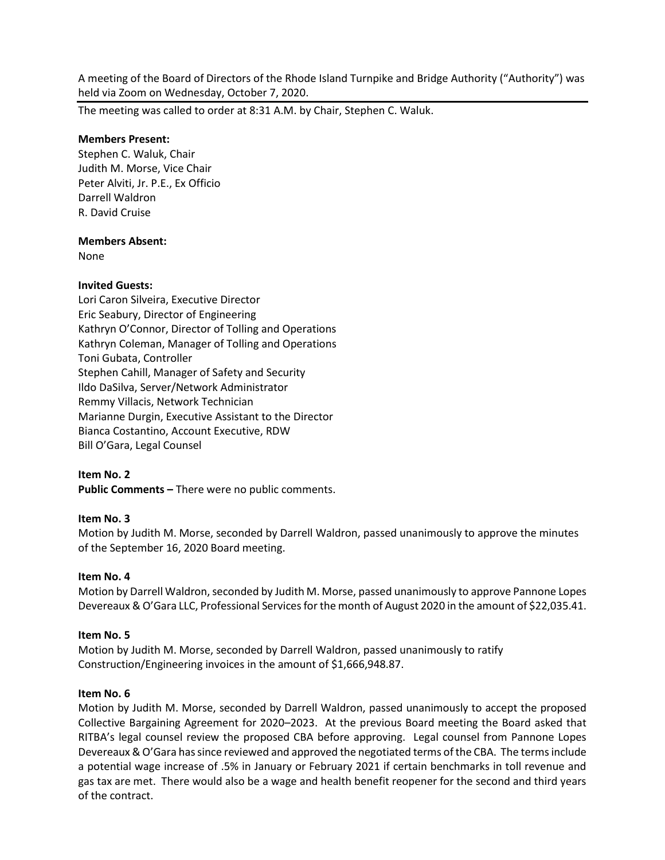A meeting of the Board of Directors of the Rhode Island Turnpike and Bridge Authority ("Authority") was held via Zoom on Wednesday, October 7, 2020.

The meeting was called to order at 8:31 A.M. by Chair, Stephen C. Waluk.

### **Members Present:**

Stephen C. Waluk, Chair Judith M. Morse, Vice Chair Peter Alviti, Jr. P.E., Ex Officio Darrell Waldron R. David Cruise

### **Members Absent:**

None

## **Invited Guests:**

Lori Caron Silveira, Executive Director Eric Seabury, Director of Engineering Kathryn O'Connor, Director of Tolling and Operations Kathryn Coleman, Manager of Tolling and Operations Toni Gubata, Controller Stephen Cahill, Manager of Safety and Security Ildo DaSilva, Server/Network Administrator Remmy Villacis, Network Technician Marianne Durgin, Executive Assistant to the Director Bianca Costantino, Account Executive, RDW Bill O'Gara, Legal Counsel

## **Item No. 2**

**Public Comments –** There were no public comments.

## **Item No. 3**

Motion by Judith M. Morse, seconded by Darrell Waldron, passed unanimously to approve the minutes of the September 16, 2020 Board meeting.

#### **Item No. 4**

Motion by Darrell Waldron, seconded by Judith M. Morse, passed unanimously to approve Pannone Lopes Devereaux & O'Gara LLC, Professional Services for the month of August 2020 in the amount of \$22,035.41.

#### **Item No. 5**

Motion by Judith M. Morse, seconded by Darrell Waldron, passed unanimously to ratify Construction/Engineering invoices in the amount of \$1,666,948.87.

#### **Item No. 6**

Motion by Judith M. Morse, seconded by Darrell Waldron, passed unanimously to accept the proposed Collective Bargaining Agreement for 2020–2023. At the previous Board meeting the Board asked that RITBA's legal counsel review the proposed CBA before approving. Legal counsel from Pannone Lopes Devereaux & O'Gara has since reviewed and approved the negotiated terms of the CBA. The terms include a potential wage increase of .5% in January or February 2021 if certain benchmarks in toll revenue and gas tax are met. There would also be a wage and health benefit reopener for the second and third years of the contract.